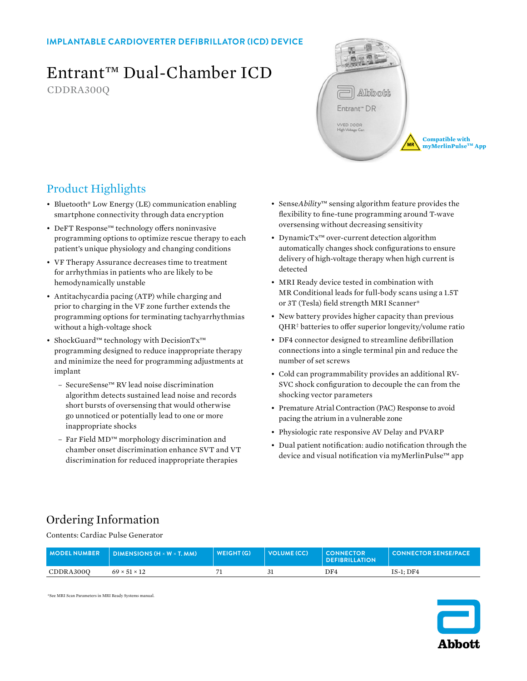### **IMPLANTABLE CARDIOVERTER DEFIBRILLATOR (ICD) DEVICE**

# Entrant™ Dual-Chamber ICD

CDDRA300Q



**Compatible with myMerlinPulse™ App** 

# Product Highlights

- Bluetooth® Low Energy (LE) communication enabling smartphone connectivity through data encryption
- DeFT Response™ technology offers noninvasive programming options to optimize rescue therapy to each patient's unique physiology and changing conditions
- VF Therapy Assurance decreases time to treatment for arrhythmias in patients who are likely to be hemodynamically unstable
- Antitachycardia pacing (ATP) while charging and prior to charging in the VF zone further extends the programming options for terminating tachyarrhythmias without a high-voltage shock
- ShockGuard™ technology with DecisionTx™ programming designed to reduce inappropriate therapy and minimize the need for programming adjustments at implant
	- SecureSense™ RV lead noise discrimination algorithm detects sustained lead noise and records short bursts of oversensing that would otherwise go unnoticed or potentially lead to one or more inappropriate shocks
	- Far Field MD™ morphology discrimination and chamber onset discrimination enhance SVT and VT discrimination for reduced inappropriate therapies
- Sense*Ability*™ sensing algorithm feature provides the flexibility to fine-tune programming around T-wave oversensing without decreasing sensitivity
- DynamicTx™ over-current detection algorithm automatically changes shock configurations to ensure delivery of high-voltage therapy when high current is detected
- MRI Ready device tested in combination with MR Conditional leads for full-body scans using a 1.5T or 3T (Tesla) field strength MRI Scanner\*
- New battery provides higher capacity than previous QHR‡ batteries to offer superior longevity/volume ratio
- DF4 connector designed to streamline defibrillation connections into a single terminal pin and reduce the number of set screws
- Cold can programmability provides an additional RV-SVC shock configuration to decouple the can from the shocking vector parameters
- Premature Atrial Contraction (PAC) Response to avoid pacing the atrium in a vulnerable zone
- Physiologic rate responsive AV Delay and PVARP
- Dual patient notification: audio notification through the device and visual notification via myMerlinPulse™ app

# Ordering Information

Contents: Cardiac Pulse Generator

| <b>MODELNUMBER</b> | <b>DIMENSIONS (H <math>\times</math> W <math>\times</math> T, MM)</b> | WEIGHT (G) | VOLUME (CC) | <b>CONNECTOR</b><br><b>DEFIBRILLATION</b> | <b>CONNECTOR SENSE/PACE</b> |
|--------------------|-----------------------------------------------------------------------|------------|-------------|-------------------------------------------|-----------------------------|
| CDDRA3000          | $69 \times 51 \times 12$                                              |            |             | DF4                                       | $IS-1:DF4$                  |

\*See MRI Scan Parameters in MRI Ready Systems manual.

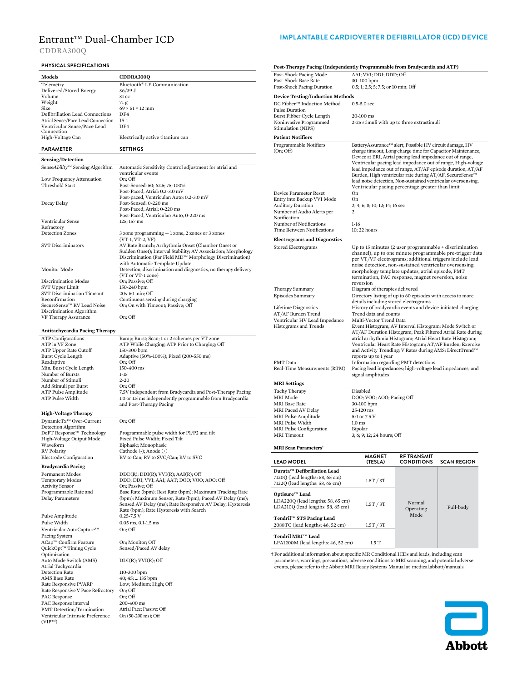PAC Response interval 200-400 ms<br>
PMT Detection/Termination Atrial Pace; Passive; Off PMT Detection/Termination Atrial Pace; Passive; Off Ventricular Intrinsic Preference On (50-200 ms); Off

 $(VIP^{\text{\tiny{TM}}})$ 

CDDRA300Q

### **PHYSICAL SPECIFICATIONS**

| PHYSICAL SPECIFICATIONS                         |                                                                                                                        | Post-Therapy Pacing (Independently Programmable from Bradycardia and ATP)                    |                                                                                                                       |                     |                                                              |  |
|-------------------------------------------------|------------------------------------------------------------------------------------------------------------------------|----------------------------------------------------------------------------------------------|-----------------------------------------------------------------------------------------------------------------------|---------------------|--------------------------------------------------------------|--|
| Models                                          | CDDRA300Q                                                                                                              | Post-Shock Pacing Mode                                                                       | AAI; VVI; DDI; DDD; Off                                                                                               |                     |                                                              |  |
| Telemetry                                       | Bluetooth® LE Communication                                                                                            | Post-Shock Base Rate                                                                         | 30-100 bpm                                                                                                            |                     |                                                              |  |
| Delivered/Stored Energy                         | $36/39$ J                                                                                                              | Post-Shock Pacing Duration                                                                   | 0.5; 1; 2,5; 5; 7.5; or 10 min; Off                                                                                   |                     |                                                              |  |
| Volume                                          | 31 cc                                                                                                                  | <b>Device Testing/Induction Methods</b>                                                      |                                                                                                                       |                     |                                                              |  |
| Weight<br>Size                                  | 71 g<br>$69 \times 51 \times 12$ mm                                                                                    | DC Fibber™ Induction Method                                                                  | $0.5 - 5.0$ sec                                                                                                       |                     |                                                              |  |
| Defibrillation Lead Connections                 | DF4                                                                                                                    | Pulse Duration<br>Burst Fibber Cycle Length                                                  | 20-100 ms                                                                                                             |                     |                                                              |  |
| Atrial Sense/Pace Lead Connection               | $IS-1$                                                                                                                 | Noninvasive Programmed                                                                       | 2-25 stimuli with up to three extrastimuli                                                                            |                     |                                                              |  |
| Ventricular Sense/Pace Lead<br>Connection       | DF4                                                                                                                    | Stimulation (NIPS)                                                                           |                                                                                                                       |                     |                                                              |  |
| High-Voltage Can                                | Electrically active titanium can                                                                                       | <b>Patient Notifiers</b>                                                                     |                                                                                                                       |                     |                                                              |  |
| <b>PARAMETER</b>                                | <b>SETTINGS</b>                                                                                                        | Programmable Notifiers<br>(On; Off)                                                          | BatteryAssurance™ alert, Possible HV circuit damage, HV                                                               |                     | charge timeout, Long charge time for Capacitor Maintenance,  |  |
| Sensing/Detection                               |                                                                                                                        |                                                                                              | Device at ERI, Atrial pacing lead impedance out of range,                                                             |                     |                                                              |  |
| SenseAbility™ Sensing Algorithm                 | Automatic Sensitivity Control adjustment for atrial and                                                                |                                                                                              |                                                                                                                       |                     | Ventricular pacing lead impedance out of range, High-voltage |  |
|                                                 | ventricular events                                                                                                     |                                                                                              | Burden, High ventricular rate during AT/AF, SecureSense™                                                              |                     | lead impedance out of range, AT/AF episode duration, AT/AF   |  |
| Low Frequency Attenuation                       | On: Off                                                                                                                |                                                                                              | lead noise detection, Non-sustained ventricular oversensing,                                                          |                     |                                                              |  |
| Threshold Start                                 | Post-Sensed: 50; 62.5; 75; 100%                                                                                        |                                                                                              | Ventricular pacing percentage greater than limit                                                                      |                     |                                                              |  |
|                                                 | Post-Paced, Atrial: 0.2-3.0 mV<br>Post-paced, Ventricular: Auto; 0.2-3.0 mV                                            | Device Parameter Reset                                                                       | On<br>On                                                                                                              |                     |                                                              |  |
| Decay Delay                                     | Post-Sensed: 0-220 ms                                                                                                  | Entry into Backup VVI Mode<br><b>Auditory Duration</b>                                       | 2; 4; 6; 8; 10; 12; 14; 16 sec                                                                                        |                     |                                                              |  |
|                                                 | Post-Paced, Atrial: 0-220 ms                                                                                           | Number of Audio Alerts per                                                                   | 2                                                                                                                     |                     |                                                              |  |
| Ventricular Sense                               | Post-Paced, Ventricular: Auto, 0-220 ms<br>125; 157 ms                                                                 | Notification                                                                                 |                                                                                                                       |                     |                                                              |  |
| Refractory                                      |                                                                                                                        | Number of Notifications                                                                      | $1-16$                                                                                                                |                     |                                                              |  |
| Detection Zones                                 | 3 zone programming $-1$ zone, 2 zones or 3 zones                                                                       | Time Between Notifications                                                                   | 10; 22 hours                                                                                                          |                     |                                                              |  |
|                                                 | $(VT-1, VT-2, VF)$                                                                                                     | <b>Electrograms and Diagnostics</b>                                                          |                                                                                                                       |                     |                                                              |  |
| <b>SVT Discriminators</b>                       | AV Rate Branch; Arrhythmia Onset (Chamber Onset or<br>Sudden Onset); Interval Stability; AV Association; Morphology    | Stored Electrograms                                                                          | Up to 15 minutes (2 user programmable $+$ discrimination                                                              |                     |                                                              |  |
|                                                 | Discrimination (Far Field MD™ Morphology Discrimination)                                                               |                                                                                              | per VT/VF electrograms; additional triggers include lead                                                              |                     | channel), up to one minute programmable pre-trigger data     |  |
|                                                 | with Automatic Template Update                                                                                         |                                                                                              | noise detection, non-sustained ventricular oversensing,                                                               |                     |                                                              |  |
| <b>Monitor Mode</b>                             | Detection, discrimination and diagnostics, no therapy delivery                                                         |                                                                                              | morphology template updates, atrial episode, PMT                                                                      |                     |                                                              |  |
| <b>Discrimination Modes</b>                     | (VT or VT-1 zone)<br>On; Passive; Off                                                                                  |                                                                                              | termination, PAC response, magnet reversion, noise                                                                    |                     |                                                              |  |
| SVT Upper Limit                                 | 150-240 bpm                                                                                                            | Therapy Summary                                                                              | reversion<br>Diagram of therapies delivered                                                                           |                     |                                                              |  |
| SVT Discrimination Timeout                      | 20s-60 min; Off                                                                                                        | Episodes Summary                                                                             | Directory listing of up to 60 episodes with access to more                                                            |                     |                                                              |  |
| Reconfirmation<br>SecureSense™ RV Lead Noise    | Continuous sensing during charging<br>On; On with Timeout; Passive; Off                                                |                                                                                              | details including stored electrograms                                                                                 |                     |                                                              |  |
| Discrimination Algorithm                        |                                                                                                                        | Lifetime Diagnostics                                                                         | History of bradycardia events and device-initiated charging                                                           |                     |                                                              |  |
| VF Therapy Assurance                            | On; Off                                                                                                                | AT/AF Burden Trend<br>Ventricular HV Lead Impedance                                          | Trend data and counts<br>Multi-Vector Trend Data                                                                      |                     |                                                              |  |
|                                                 |                                                                                                                        | Histograms and Trends                                                                        | Event Histogram; AV Interval Histogram; Mode Switch or                                                                |                     |                                                              |  |
| Antitachycardia Pacing Therapy                  |                                                                                                                        |                                                                                              |                                                                                                                       |                     | AT/AF Duration Histogram; Peak Filtered Atrial Rate during   |  |
| <b>ATP</b> Configurations<br>ATP in VF Zone     | Ramp; Burst; Scan; 1 or 2 schemes per VT zone<br>ATP While Charging; ATP Prior to Charging; Off                        |                                                                                              | atrial arrhythmia Histogram; Atrial Heart Rate Histogram;<br>Ventricular Heart Rate Histogram; AT/AF Burden; Exercise |                     |                                                              |  |
| ATP Upper Rate Cutoff                           | 150-300 bpm                                                                                                            |                                                                                              | and Activity Trending; V Rates during AMS; DirectTrend™                                                               |                     |                                                              |  |
| Burst Cycle Length                              | Adaptive (50%-100%); Fixed (200-550 ms)                                                                                |                                                                                              | reports up to 1 year                                                                                                  |                     |                                                              |  |
| Readaptive                                      | On; Off                                                                                                                | PMT Data                                                                                     | Information regarding PMT detections                                                                                  |                     |                                                              |  |
| Min. Burst Cycle Length<br>Number of Bursts     | 150-400 ms<br>$1 - 15$                                                                                                 | Real-Time Measurements (RTM)                                                                 | Pacing lead impedances; high-voltage lead impedances; and<br>signal amplitudes                                        |                     |                                                              |  |
| Number of Stimuli                               | $2 - 20$                                                                                                               |                                                                                              |                                                                                                                       |                     |                                                              |  |
| Add Stimuli per Burst                           | On; Off                                                                                                                | <b>MRI</b> Settings<br><b>Tachy Therapy</b>                                                  | Disabled                                                                                                              |                     |                                                              |  |
| ATP Pulse Amplitude<br>ATP Pulse Width          | 7.5V independent from Bradycardia and Post-Therapy Pacing<br>1.0 or 1.5 ms independently programmable from Bradycardia | <b>MRI</b> Mode                                                                              | DOO; VOO; AOO; Pacing Off                                                                                             |                     |                                                              |  |
|                                                 | and Post-Therapy Pacing                                                                                                | <b>MRI</b> Base Rate                                                                         | 30-100 bpm                                                                                                            |                     |                                                              |  |
| <b>High-Voltage Therapy</b>                     |                                                                                                                        | MRI Paced AV Delay                                                                           | 25-120 ms                                                                                                             |                     |                                                              |  |
| DynamicTx™ Over-Current                         | On; Off                                                                                                                | MRI Pulse Amplitude                                                                          | 5.0 or 7.5 V                                                                                                          |                     |                                                              |  |
| Detection Algorithm                             |                                                                                                                        | MRI Pulse Width<br>MRI Pulse Configuration                                                   | $1.0$ ms<br>Bipolar                                                                                                   |                     |                                                              |  |
| DeFT Response <sup>™</sup> Technology           | Programmable pulse width for P1/P2 and tilt                                                                            | <b>MRI</b> Timeout                                                                           | 3; 6; 9; 12; 24 hours; Off                                                                                            |                     |                                                              |  |
| High-Voltage Output Mode<br>Waveform            | Fixed Pulse Width; Fixed Tilt<br>Biphasic; Monophasic                                                                  |                                                                                              |                                                                                                                       |                     |                                                              |  |
| <b>RV</b> Polarity                              | Cathode (-); Anode (+)                                                                                                 | <b>MRI Scan Parameters<sup>+</sup></b>                                                       |                                                                                                                       |                     |                                                              |  |
| Electrode Configuration                         | RV to Can; RV to SVC/Can; RV to SVC                                                                                    | <b>LEAD MODEL</b>                                                                            | <b>MAGNET</b><br>(TESLA)                                                                                              | <b>RF TRANSMIT</b>  | <b>SCAN REGION</b>                                           |  |
| <b>Bradycardia Pacing</b>                       |                                                                                                                        |                                                                                              |                                                                                                                       | <b>CONDITIONS</b>   |                                                              |  |
| Permanent Modes                                 | $DDD(R)$ ; $DDI(R)$ ; $VVI(R)$ ; $AAI(R)$ ; $Off$                                                                      | Durata™ Defibrillation Lead<br>7120Q (lead lengths: 58, 65 cm)                               |                                                                                                                       |                     |                                                              |  |
| Temporary Modes                                 | DDD; DDI; VVI; AAI; AAT; DOO; VOO; AOO; Off                                                                            | 7122Q (lead lengths: 58, 65 cm)                                                              | 1.5T / 3T                                                                                                             |                     |                                                              |  |
| <b>Activity Sensor</b><br>Programmable Rate and | On; Passive; Off<br>Base Rate (bpm); Rest Rate (bpm); Maximum Tracking Rate                                            |                                                                                              |                                                                                                                       |                     |                                                              |  |
| Delay Parameters                                | (bpm); Maximum Sensor, Rate (bpm); Paced AV Delay (ms);                                                                | Optisure <sup>™</sup> Lead<br>LDA220Q (lead lengths: 58, 65 cm)                              |                                                                                                                       |                     |                                                              |  |
|                                                 | Sensed AV Delay (ms); Rate Responsive AV Delay; Hysteresis                                                             | LDA210Q (lead lengths: 58, 65 cm)                                                            | 1.5T / 3T                                                                                                             | Normal<br>Operating | Full-body                                                    |  |
| Pulse Amplitude                                 | Rate (bpm); Rate Hysteresis with Search<br>$0.25 - 7.5$ V                                                              |                                                                                              |                                                                                                                       | Mode                |                                                              |  |
| Pulse Width                                     | $0.05$ ms, $0.1 - 1.5$ ms                                                                                              | Tendril™ STS Pacing Lead                                                                     |                                                                                                                       |                     |                                                              |  |
| Ventricular AutoCapture™                        | On; Off                                                                                                                | 2088TC (lead lengths: 46, 52 cm)                                                             | 1.5T / 3T                                                                                                             |                     |                                                              |  |
| Pacing System                                   |                                                                                                                        | Tendril MRI™ Lead                                                                            |                                                                                                                       |                     |                                                              |  |
| ACap™ Confirm Feature                           | On; Monitor; Off                                                                                                       | LPA1200M (lead lengths: 46, 52 cm)                                                           | 1.5T                                                                                                                  |                     |                                                              |  |
| QuickOpt™ Timing Cycle<br>Optimization          | Sensed/Paced AV delay                                                                                                  | † For additional information about specific MR Conditional ICDs and leads, including scan    |                                                                                                                       |                     |                                                              |  |
| Auto Mode Switch (AMS)                          | DDI(R); VVI(R); Off                                                                                                    | parameters, warnings, precautions, adverse conditions to MRI scanning, and potential adverse |                                                                                                                       |                     |                                                              |  |
| Atrial Tachycardia                              |                                                                                                                        | events, please refer to the Abbott MRI Ready Systems Manual at medical.abbott/manuals.       |                                                                                                                       |                     |                                                              |  |
| Detection Rate<br>AMS Base Rate                 | 110-300 bpm<br>40; 45;  135 bpm                                                                                        |                                                                                              |                                                                                                                       |                     |                                                              |  |
| Rate Responsive PVARP                           | Low; Medium; High; Off                                                                                                 |                                                                                              |                                                                                                                       |                     |                                                              |  |
| Rate Responsive V Pace Refractory               | On; Off                                                                                                                |                                                                                              |                                                                                                                       |                     |                                                              |  |
| <b>PAC Response</b>                             | On; Off                                                                                                                |                                                                                              |                                                                                                                       |                     |                                                              |  |



## **IMPLANTABLE CARDIOVERTER DEFIBRILLATOR (ICD) DEVICE** Entrant<sup>™</sup> Dual-Chamber ICD